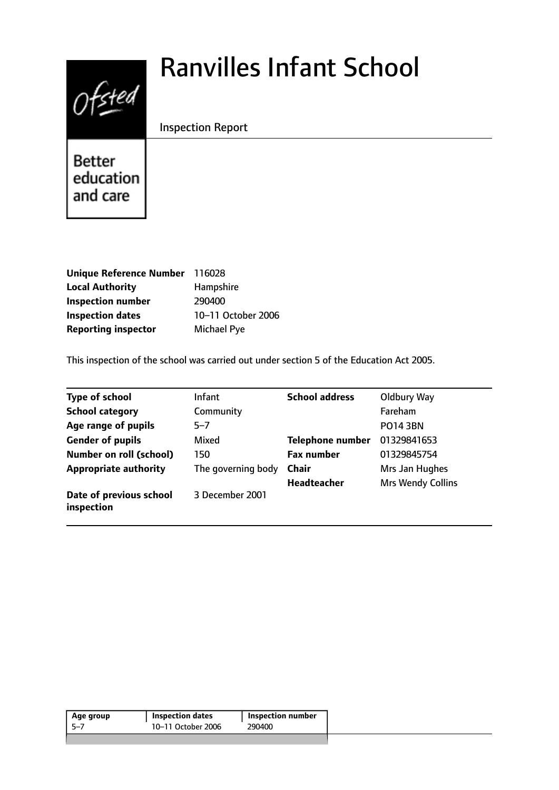# $0$ fsted

# Ranvilles Infant School

Inspection Report

Better education and care

| Unique Reference Number 116028 |                    |
|--------------------------------|--------------------|
| <b>Local Authority</b>         | Hampshire          |
| <b>Inspection number</b>       | 290400             |
| <b>Inspection dates</b>        | 10-11 October 2006 |
| <b>Reporting inspector</b>     | <b>Michael Pye</b> |

This inspection of the school was carried out under section 5 of the Education Act 2005.

| <b>Type of school</b>                 | <b>Infant</b>      | <b>School address</b>   | Oldbury Way              |
|---------------------------------------|--------------------|-------------------------|--------------------------|
| <b>School category</b>                | Community          |                         | Fareham                  |
| Age range of pupils                   | $5 - 7$            |                         | <b>PO14 3BN</b>          |
| <b>Gender of pupils</b>               | Mixed              | <b>Telephone number</b> | 01329841653              |
| <b>Number on roll (school)</b>        | 150                | <b>Fax number</b>       | 01329845754              |
| <b>Appropriate authority</b>          | The governing body | <b>Chair</b>            | Mrs Jan Hughes           |
|                                       |                    | <b>Headteacher</b>      | <b>Mrs Wendy Collins</b> |
| Date of previous school<br>inspection | 3 December 2001    |                         |                          |

| 10-11 October 2006<br>290400<br>-5–7 | Age group | <b>Inspection dates</b> | Inspection number |
|--------------------------------------|-----------|-------------------------|-------------------|
|                                      |           |                         |                   |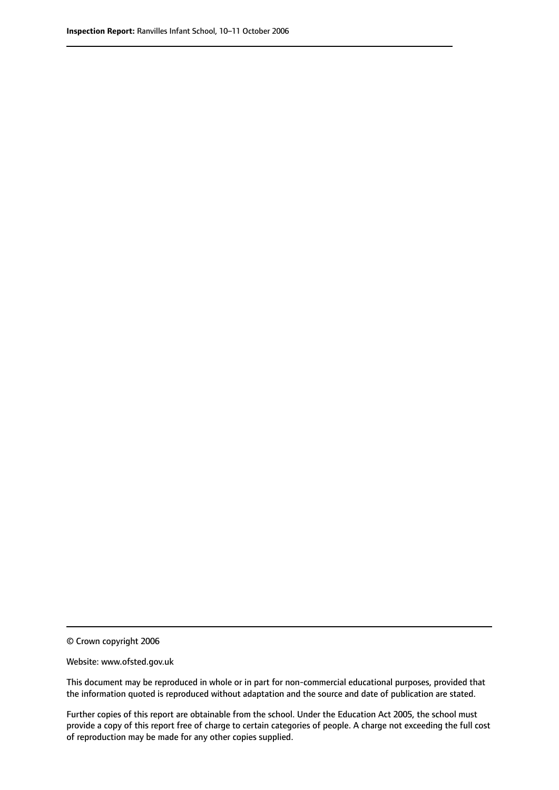© Crown copyright 2006

Website: www.ofsted.gov.uk

This document may be reproduced in whole or in part for non-commercial educational purposes, provided that the information quoted is reproduced without adaptation and the source and date of publication are stated.

Further copies of this report are obtainable from the school. Under the Education Act 2005, the school must provide a copy of this report free of charge to certain categories of people. A charge not exceeding the full cost of reproduction may be made for any other copies supplied.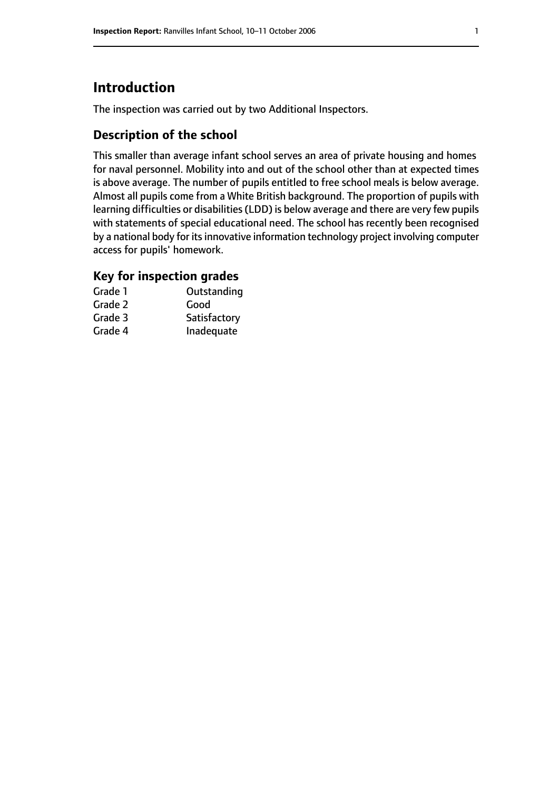# **Introduction**

The inspection was carried out by two Additional Inspectors.

#### **Description of the school**

This smaller than average infant school serves an area of private housing and homes for naval personnel. Mobility into and out of the school other than at expected times is above average. The number of pupils entitled to free school meals is below average. Almost all pupils come from a White British background. The proportion of pupils with learning difficulties or disabilities(LDD) is below average and there are very few pupils with statements of special educational need. The school has recently been recognised by a national body for its innovative information technology project involving computer access for pupils' homework.

#### **Key for inspection grades**

| Grade 1 | Outstanding  |
|---------|--------------|
| Grade 2 | Good         |
| Grade 3 | Satisfactory |
| Grade 4 | Inadequate   |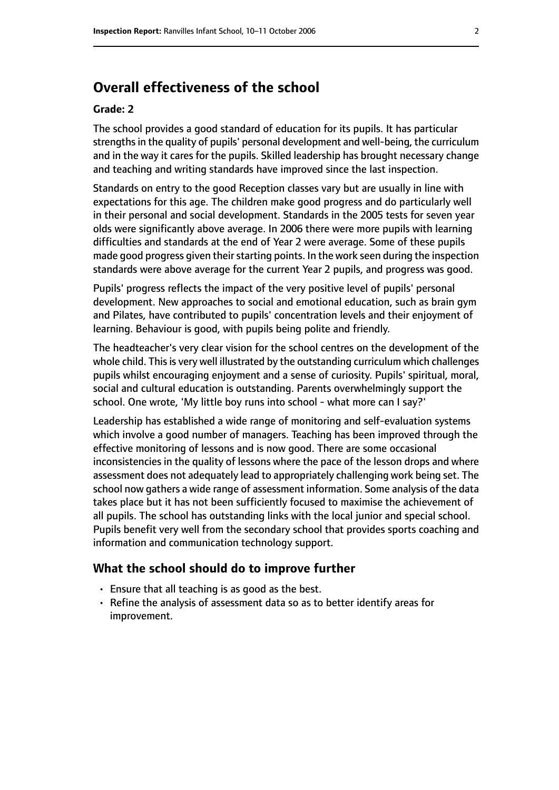### **Overall effectiveness of the school**

#### **Grade: 2**

The school provides a good standard of education for its pupils. It has particular strengths in the quality of pupils' personal development and well-being, the curriculum and in the way it cares for the pupils. Skilled leadership has brought necessary change and teaching and writing standards have improved since the last inspection.

Standards on entry to the good Reception classes vary but are usually in line with expectations for this age. The children make good progress and do particularly well in their personal and social development. Standards in the 2005 tests for seven year olds were significantly above average. In 2006 there were more pupils with learning difficulties and standards at the end of Year 2 were average. Some of these pupils made good progress given their starting points. In the work seen during the inspection standards were above average for the current Year 2 pupils, and progress was good.

Pupils' progress reflects the impact of the very positive level of pupils' personal development. New approaches to social and emotional education, such as brain gym and Pilates, have contributed to pupils' concentration levels and their enjoyment of learning. Behaviour is good, with pupils being polite and friendly.

The headteacher's very clear vision for the school centres on the development of the whole child. This is very well illustrated by the outstanding curriculum which challenges pupils whilst encouraging enjoyment and a sense of curiosity. Pupils' spiritual, moral, social and cultural education is outstanding. Parents overwhelmingly support the school. One wrote, 'My little boy runs into school - what more can I say?'

Leadership has established a wide range of monitoring and self-evaluation systems which involve a good number of managers. Teaching has been improved through the effective monitoring of lessons and is now good. There are some occasional inconsistencies in the quality of lessons where the pace of the lesson drops and where assessment does not adequately lead to appropriately challenging work being set. The school now gathers a wide range of assessment information. Some analysis of the data takes place but it has not been sufficiently focused to maximise the achievement of all pupils. The school has outstanding links with the local junior and special school. Pupils benefit very well from the secondary school that provides sports coaching and information and communication technology support.

#### **What the school should do to improve further**

- Ensure that all teaching is as good as the best.
- Refine the analysis of assessment data so as to better identify areas for improvement.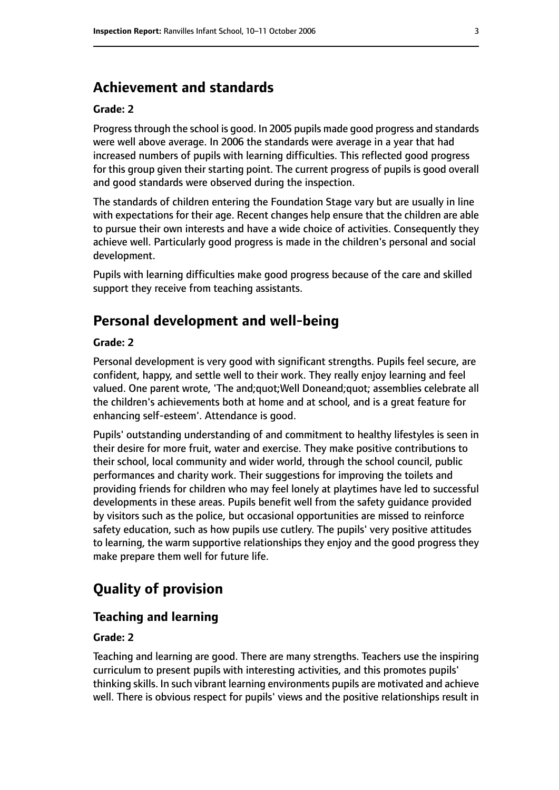#### **Achievement and standards**

#### **Grade: 2**

Progressthrough the school is good. In 2005 pupils made good progress and standards were well above average. In 2006 the standards were average in a year that had increased numbers of pupils with learning difficulties. This reflected good progress for this group given their starting point. The current progress of pupils is good overall and good standards were observed during the inspection.

The standards of children entering the Foundation Stage vary but are usually in line with expectations for their age. Recent changes help ensure that the children are able to pursue their own interests and have a wide choice of activities. Consequently they achieve well. Particularly good progress is made in the children's personal and social development.

Pupils with learning difficulties make good progress because of the care and skilled support they receive from teaching assistants.

#### **Personal development and well-being**

#### **Grade: 2**

Personal development is very good with significant strengths. Pupils feel secure, are confident, happy, and settle well to their work. They really enjoy learning and feel valued. One parent wrote, 'The and;quot;Well Doneand;quot; assemblies celebrate all the children's achievements both at home and at school, and is a great feature for enhancing self-esteem'. Attendance is good.

Pupils' outstanding understanding of and commitment to healthy lifestyles is seen in their desire for more fruit, water and exercise. They make positive contributions to their school, local community and wider world, through the school council, public performances and charity work. Their suggestions for improving the toilets and providing friends for children who may feel lonely at playtimes have led to successful developments in these areas. Pupils benefit well from the safety guidance provided by visitors such as the police, but occasional opportunities are missed to reinforce safety education, such as how pupils use cutlery. The pupils' very positive attitudes to learning, the warm supportive relationships they enjoy and the good progress they make prepare them well for future life.

#### **Quality of provision**

#### **Teaching and learning**

#### **Grade: 2**

Teaching and learning are good. There are many strengths. Teachers use the inspiring curriculum to present pupils with interesting activities, and this promotes pupils' thinking skills. In such vibrant learning environments pupils are motivated and achieve well. There is obvious respect for pupils' views and the positive relationships result in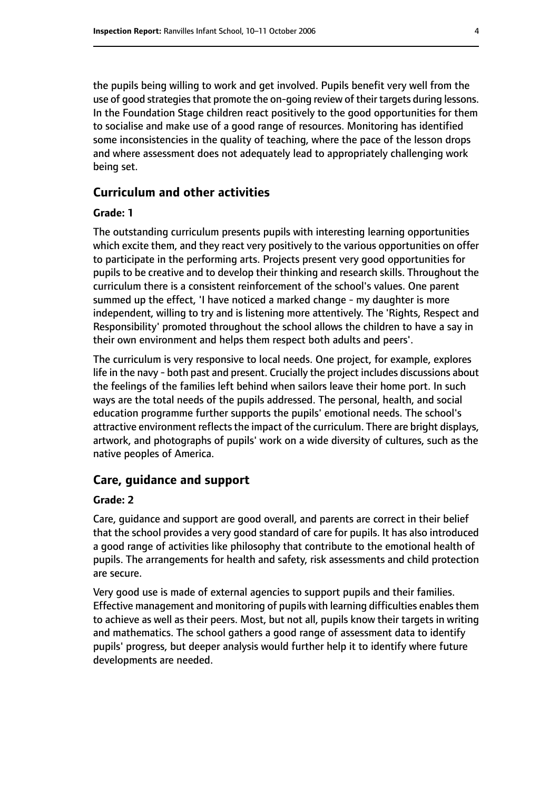the pupils being willing to work and get involved. Pupils benefit very well from the use of good strategies that promote the on-going review of their targets during lessons. In the Foundation Stage children react positively to the good opportunities for them to socialise and make use of a good range of resources. Monitoring has identified some inconsistencies in the quality of teaching, where the pace of the lesson drops and where assessment does not adequately lead to appropriately challenging work being set.

#### **Curriculum and other activities**

#### **Grade: 1**

The outstanding curriculum presents pupils with interesting learning opportunities which excite them, and they react very positively to the various opportunities on offer to participate in the performing arts. Projects present very good opportunities for pupils to be creative and to develop their thinking and research skills. Throughout the curriculum there is a consistent reinforcement of the school's values. One parent summed up the effect, 'I have noticed a marked change - my daughter is more independent, willing to try and is listening more attentively. The 'Rights, Respect and Responsibility' promoted throughout the school allows the children to have a say in their own environment and helps them respect both adults and peers'.

The curriculum is very responsive to local needs. One project, for example, explores life in the navy - both past and present. Crucially the project includes discussions about the feelings of the families left behind when sailors leave their home port. In such ways are the total needs of the pupils addressed. The personal, health, and social education programme further supports the pupils' emotional needs. The school's attractive environment reflects the impact of the curriculum. There are bright displays, artwork, and photographs of pupils' work on a wide diversity of cultures, such as the native peoples of America.

#### **Care, guidance and support**

#### **Grade: 2**

Care, guidance and support are good overall, and parents are correct in their belief that the school provides a very good standard of care for pupils. It has also introduced a good range of activities like philosophy that contribute to the emotional health of pupils. The arrangements for health and safety, risk assessments and child protection are secure.

Very good use is made of external agencies to support pupils and their families. Effective management and monitoring of pupils with learning difficulties enablesthem to achieve as well as their peers. Most, but not all, pupils know their targets in writing and mathematics. The school gathers a good range of assessment data to identify pupils' progress, but deeper analysis would further help it to identify where future developments are needed.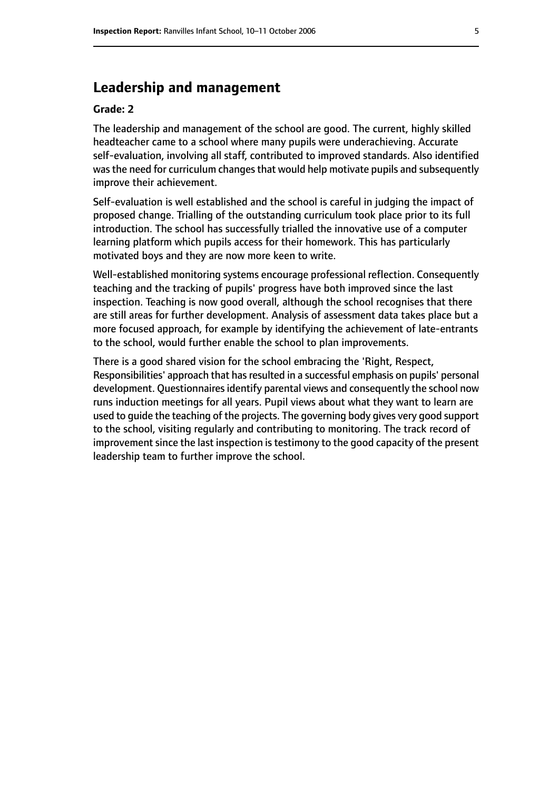#### **Leadership and management**

#### **Grade: 2**

The leadership and management of the school are good. The current, highly skilled headteacher came to a school where many pupils were underachieving. Accurate self-evaluation, involving all staff, contributed to improved standards. Also identified was the need for curriculum changes that would help motivate pupils and subsequently improve their achievement.

Self-evaluation is well established and the school is careful in judging the impact of proposed change. Trialling of the outstanding curriculum took place prior to its full introduction. The school has successfully trialled the innovative use of a computer learning platform which pupils access for their homework. This has particularly motivated boys and they are now more keen to write.

Well-established monitoring systems encourage professional reflection. Consequently teaching and the tracking of pupils' progress have both improved since the last inspection. Teaching is now good overall, although the school recognises that there are still areas for further development. Analysis of assessment data takes place but a more focused approach, for example by identifying the achievement of late-entrants to the school, would further enable the school to plan improvements.

There is a good shared vision for the school embracing the 'Right, Respect, Responsibilities' approach that has resulted in a successful emphasis on pupils' personal development. Questionnaires identify parental views and consequently the school now runs induction meetings for all years. Pupil views about what they want to learn are used to guide the teaching of the projects. The governing body gives very good support to the school, visiting regularly and contributing to monitoring. The track record of improvement since the last inspection is testimony to the good capacity of the present leadership team to further improve the school.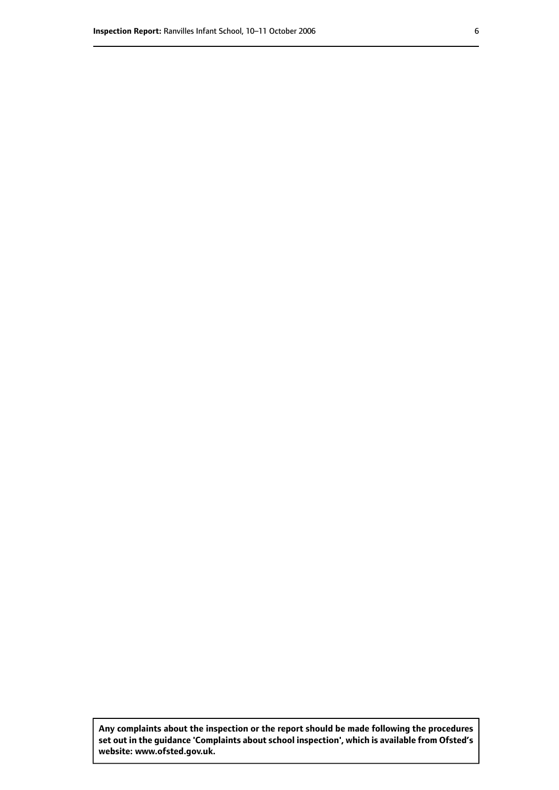**Any complaints about the inspection or the report should be made following the procedures set out inthe guidance 'Complaints about school inspection', whichis available from Ofsted's website: www.ofsted.gov.uk.**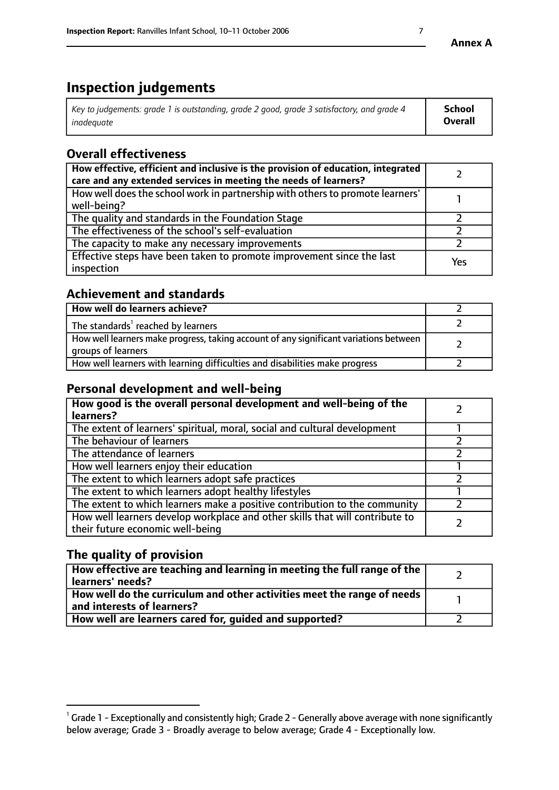# **Inspection judgements**

| Key to judgements: grade 1 is outstanding, grade 2 good, grade 3 satisfactory, and grade 4 | School         |
|--------------------------------------------------------------------------------------------|----------------|
| inadeauate                                                                                 | <b>Overall</b> |

## **Overall effectiveness**

| How effective, efficient and inclusive is the provision of education, integrated<br>care and any extended services in meeting the needs of learners? |     |
|------------------------------------------------------------------------------------------------------------------------------------------------------|-----|
| How well does the school work in partnership with others to promote learners'<br>well-being?                                                         |     |
| The quality and standards in the Foundation Stage                                                                                                    |     |
| The effectiveness of the school's self-evaluation                                                                                                    |     |
| The capacity to make any necessary improvements                                                                                                      |     |
| Effective steps have been taken to promote improvement since the last<br>inspection                                                                  | Yes |

#### **Achievement and standards**

| How well do learners achieve?                                                                               |  |
|-------------------------------------------------------------------------------------------------------------|--|
| The standards <sup>1</sup> reached by learners                                                              |  |
| How well learners make progress, taking account of any significant variations between<br>groups of learners |  |
| How well learners with learning difficulties and disabilities make progress                                 |  |

#### **Personal development and well-being**

| How good is the overall personal development and well-being of the<br>learners?                                  |  |
|------------------------------------------------------------------------------------------------------------------|--|
| The extent of learners' spiritual, moral, social and cultural development                                        |  |
| The behaviour of learners                                                                                        |  |
| The attendance of learners                                                                                       |  |
| How well learners enjoy their education                                                                          |  |
| The extent to which learners adopt safe practices                                                                |  |
| The extent to which learners adopt healthy lifestyles                                                            |  |
| The extent to which learners make a positive contribution to the community                                       |  |
| How well learners develop workplace and other skills that will contribute to<br>their future economic well-being |  |

#### **The quality of provision**

| How effective are teaching and learning in meeting the full range of the<br>  learners' needs?               |  |
|--------------------------------------------------------------------------------------------------------------|--|
| How well do the curriculum and other activities meet the range of needs<br>$\mid$ and interests of learners? |  |
| How well are learners cared for, quided and supported?                                                       |  |

 $^1$  Grade 1 - Exceptionally and consistently high; Grade 2 - Generally above average with none significantly below average; Grade 3 - Broadly average to below average; Grade 4 - Exceptionally low.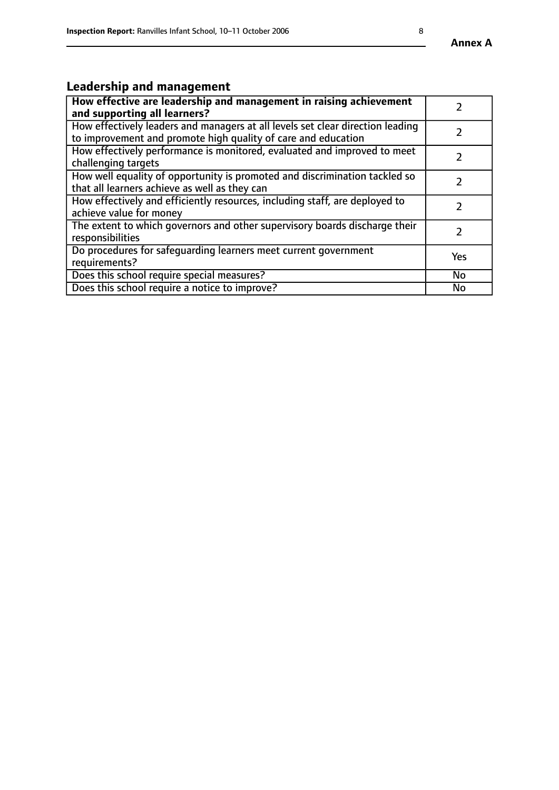#### **Annex A**

# **Leadership and management**

| How effective are leadership and management in raising achievement<br>and supporting all learners?                                              |               |
|-------------------------------------------------------------------------------------------------------------------------------------------------|---------------|
| How effectively leaders and managers at all levels set clear direction leading<br>to improvement and promote high quality of care and education |               |
| How effectively performance is monitored, evaluated and improved to meet<br>challenging targets                                                 | $\mathcal{L}$ |
| How well equality of opportunity is promoted and discrimination tackled so<br>that all learners achieve as well as they can                     |               |
| How effectively and efficiently resources, including staff, are deployed to<br>achieve value for money                                          | $\mathcal{P}$ |
| The extent to which governors and other supervisory boards discharge their<br>responsibilities                                                  |               |
| Do procedures for safequarding learners meet current government<br>requirements?                                                                | Yes           |
| Does this school require special measures?                                                                                                      | <b>No</b>     |
| Does this school require a notice to improve?                                                                                                   | No            |